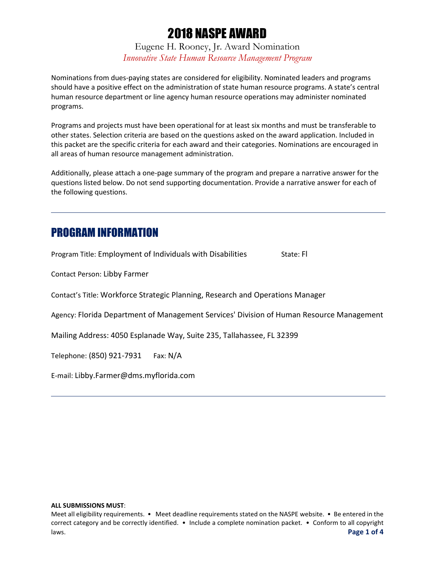Eugene H. Rooney, Jr. Award Nomination *Innovative State Human Resource Management Program*

Nominations from dues-paying states are considered for eligibility. Nominated leaders and programs should have a positive effect on the administration of state human resource programs. A state's central human resource department or line agency human resource operations may administer nominated programs.

Programs and projects must have been operational for at least six months and must be transferable to other states. Selection criteria are based on the questions asked on the award application. Included in this packet are the specific criteria for each award and their categories. Nominations are encouraged in all areas of human resource management administration.

Additionally, please attach a one-page summary of the program and prepare a narrative answer for the questions listed below. Do not send supporting documentation. Provide a narrative answer for each of the following questions.

### PROGRAM INFORMATION

Program Title: Employment of Individuals with Disabilities State: Fl

Contact Person: Libby Farmer

Contact's Title: Workforce Strategic Planning, Research and Operations Manager

Agency: Florida Department of Management Services' Division of Human Resource Management

Mailing Address: 4050 Esplanade Way, Suite 235, Tallahassee, FL 32399

Telephone: (850) 921-7931 Fax: N/A

E-mail: Libby.Farmer@dms.myflorida.com

#### **ALL SUBMISSIONS MUST**:

Meet all eligibility requirements. • Meet deadline requirements stated on the NASPE website. • Be entered in the correct category and be correctly identified. • Include a complete nomination packet. • Conform to all copyright laws. **Page 1 of 4**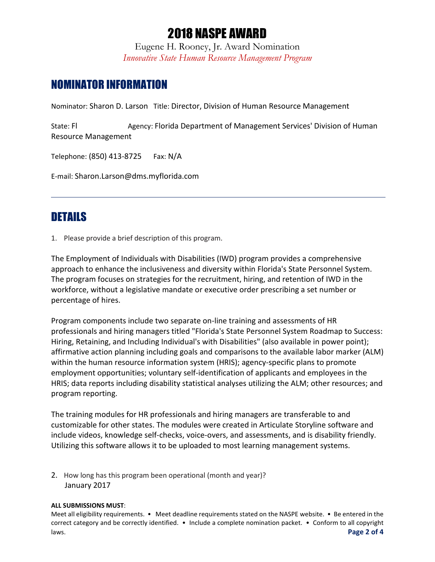Eugene H. Rooney, Jr. Award Nomination *Innovative State Human Resource Management Program*

### NOMINATOR INFORMATION

Nominator: Sharon D. Larson Title: Director, Division of Human Resource Management

State: Fl **Agency: Florida Department of Management Services' Division of Human** Resource Management

Telephone: (850) 413-8725 Fax: N/A

E-mail: Sharon.Larson@dms.myflorida.com

### DETAILS

1. Please provide a brief description of this program.

The Employment of Individuals with Disabilities (IWD) program provides a comprehensive approach to enhance the inclusiveness and diversity within Florida's State Personnel System. The program focuses on strategies for the recruitment, hiring, and retention of IWD in the workforce, without a legislative mandate or executive order prescribing a set number or percentage of hires.

Program components include two separate on-line training and assessments of HR professionals and hiring managers titled "Florida's State Personnel System Roadmap to Success: Hiring, Retaining, and Including Individual's with Disabilities" (also available in power point); affirmative action planning including goals and comparisons to the available labor marker (ALM) within the human resource information system (HRIS); agency-specific plans to promote employment opportunities; voluntary self-identification of applicants and employees in the HRIS; data reports including disability statistical analyses utilizing the ALM; other resources; and program reporting.

The training modules for HR professionals and hiring managers are transferable to and customizable for other states. The modules were created in Articulate Storyline software and include videos, knowledge self-checks, voice-overs, and assessments, and is disability friendly. Utilizing this software allows it to be uploaded to most learning management systems.

2. How long has this program been operational (month and year)? January 2017

#### **ALL SUBMISSIONS MUST**:

Meet all eligibility requirements. • Meet deadline requirements stated on the NASPE website. • Be entered in the correct category and be correctly identified. • Include a complete nomination packet. • Conform to all copyright laws. **Page 2 of 4**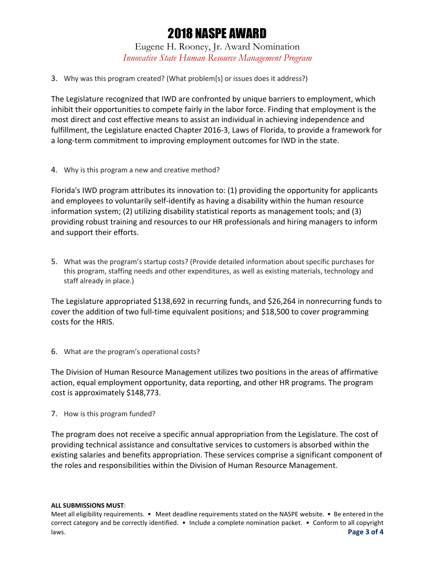Eugene H. Rooney, Jr. Award Nomination *Innovative State Human Resource Management Program*

3. Why was this program created? (What problem[s] or issues does it address?)

The Legislature recognized that IWD are confronted by unique barriers to employment, which inhibit their opportunities to compete fairly in the labor force. Finding that employment is the most direct and cost effective means to assist an individual in achieving independence and fulfillment, the Legislature enacted Chapter 2016-3, Laws of Florida, to provide a framework for a long-term commitment to improving employment outcomes for IWD in the state.

4. Why is this program a new and creative method?

Florida's IWD program attributes its innovation to: (1) providing the opportunity for applicants and employees to voluntarily self-identify as having a disability within the human resource information system; (2) utilizing disability statistical reports as management tools; and (3) providing robust training and resources to our HR professionals and hiring managers to inform and support their efforts.

5. What was the program's startup costs? (Provide detailed information about specific purchases for this program, staffing needs and other expenditures, as well as existing materials, technology and staff already in place.)

The Legislature appropriated \$138,692 in recurring funds, and \$26,264 in nonrecurring funds to cover the addition of two full-time equivalent positions; and \$18,500 to cover programming costs for the HRIS.

6. What are the program's operational costs?

The Division of Human Resource Management utilizes two positions in the areas of affirmative action, equal employment opportunity, data reporting, and other HR programs. The program cost is approximately \$148,773.

7. How is this program funded?

The program does not receive a specific annual appropriation from the Legislature. The cost of providing technical assistance and consultative services to customers is absorbed within the existing salaries and benefits appropriation. These services comprise a significant component of the roles and responsibilities within the Division of Human Resource Management.

**ALL SUBMISSIONS MUST**:

Meet all eligibility requirements. • Meet deadline requirements stated on the NASPE website. • Be entered in the correct category and be correctly identified. • Include a complete nomination packet. • Conform to all copyright laws. **Page 3 of 4**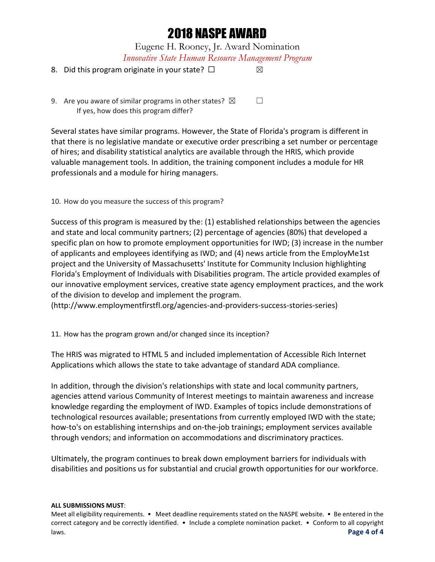Eugene H. Rooney, Jr. Award Nomination *Innovative State Human Resource Management Program*

#### 8. Did this program originate in your state?  $□$

9. Are you aware of similar programs in other states?  $\boxtimes$   $\Box$ If yes, how does this program differ?

Several states have similar programs. However, the State of Florida's program is different in that there is no legislative mandate or executive order prescribing a set number or percentage of hires; and disability statistical analytics are available through the HRIS, which provide valuable management tools. In addition, the training component includes a module for HR professionals and a module for hiring managers.

#### 10. How do you measure the success of this program?

Success of this program is measured by the: (1) established relationships between the agencies and state and local community partners; (2) percentage of agencies (80%) that developed a specific plan on how to promote employment opportunities for IWD; (3) increase in the number of applicants and employees identifying as IWD; and (4) news article from the EmployMe1st project and the University of Massachusetts' Institute for Community Inclusion highlighting Florida's Employment of Individuals with Disabilities program. The article provided examples of our innovative employment services, creative state agency employment practices, and the work of the division to develop and implement the program.

(http://www.employmentfirstfl.org/agencies-and-providers-success-stories-series)

11. How has the program grown and/or changed since its inception?

The HRIS was migrated to HTML 5 and included implementation of Accessible Rich Internet Applications which allows the state to take advantage of standard ADA compliance.

In addition, through the division's relationships with state and local community partners, agencies attend various Community of Interest meetings to maintain awareness and increase knowledge regarding the employment of IWD. Examples of topics include demonstrations of technological resources available; presentations from currently employed IWD with the state; how-to's on establishing internships and on-the-job trainings; employment services available through vendors; and information on accommodations and discriminatory practices.

Ultimately, the program continues to break down employment barriers for individuals with disabilities and positions us for substantial and crucial growth opportunities for our workforce.

#### **ALL SUBMISSIONS MUST**:

Meet all eligibility requirements. • Meet deadline requirements stated on the NASPE website. • Be entered in the correct category and be correctly identified. • Include a complete nomination packet. • Conform to all copyright laws. **Page 4 of 4**